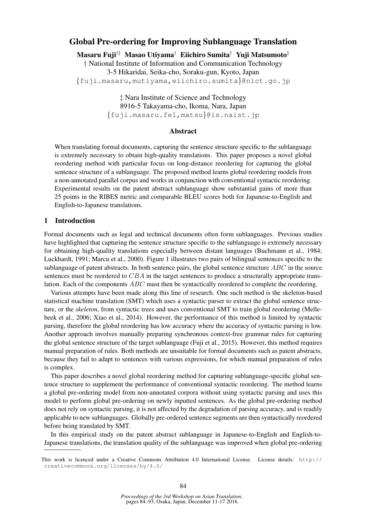# Global Pre-ordering for Improving Sublanguage Translation

Masaru Fuji†‡ Masao Utiyama† Eiichiro Sumita† Yuji Matsumoto‡

† National Institute of Information and Communication Technology 3-5 Hikaridai, Seika-cho, Soraku-gun, Kyoto, Japan {fuji.masaru,mutiyama,eiichiro.sumita}@nict.go.jp

> ‡ Nara Institute of Science and Technology 8916-5 Takayama-cho, Ikoma, Nara, Japan {fuji.masaru.fe1,matsu}@is.naist.jp

### Abstract

When translating formal documents, capturing the sentence structure specific to the sublanguage is extremely necessary to obtain high-quality translations. This paper proposes a novel global reordering method with particular focus on long-distance reordering for capturing the global sentence structure of a sublanguage. The proposed method learns global reordering models from a non-annotated parallel corpus and works in conjunction with conventional syntactic reordering. Experimental results on the patent abstract sublanguage show substantial gains of more than 25 points in the RIBES metric and comparable BLEU scores both for Japanese-to-English and English-to-Japanese translations.

### 1 Introduction

Formal documents such as legal and technical documents often form sublanguages. Previous studies have highlighted that capturing the sentence structure specific to the sublanguage is extremely necessary for obtaining high-quality translations especially between distant languages (Buchmann et al., 1984; Luckhardt, 1991; Marcu et al., 2000). Figure 1 illustrates two pairs of bilingual sentences specific to the sublanguage of patent abstracts. In both sentence pairs, the global sentence structure  $ABC$  in the source sentences must be reordered to CBA in the target sentences to produce a structurally appropriate translation. Each of the components ABC must then be syntactically reordered to complete the reordering.

Various attempts have been made along this line of research. One such method is the skeleton-based statistical machine translation (SMT) which uses a syntactic parser to extract the global sentence structure, or the *skeleton*, from syntactic trees and uses conventional SMT to train global reordering (Mellebeek et al., 2006; Xiao et al., 2014). However, the performance of this method is limited by syntactic parsing, therefore the global reordering has low accuracy where the accuracy of syntactic parsing is low. Another approach involves manually preparing synchronous context-free grammar rules for capturing the global sentence structure of the target sublanguage (Fuji et al., 2015). However, this method requires manual preparation of rules. Both methods are unsuitable for formal documents such as patent abstracts, because they fail to adapt to sentences with various expressions, for which manual preparation of rules is complex.

This paper describes a novel global reordering method for capturing sublanguage-specific global sentence structure to supplement the performance of conventional syntactic reordering. The method learns a global pre-ordering model from non-annotated corpora without using syntactic parsing and uses this model to perform global pre-ordering on newly inputted sentences. As the global pre-ordering method does not rely on syntactic parsing, it is not affected by the degradation of parsing accuracy, and is readily applicable to new sublanguages. Globally pre-ordered sentence segments are then syntactically reordered before being translated by SMT.

In this empirical study on the patent abstract sublanguage in Japanese-to-English and English-to-Japanese translations, the translation quality of the sublanguage was improved when global pre-ordering

This work is licenced under a Creative Commons Attribution 4.0 International License. License details: http:// creativecommons.org/licenses/by/4.0/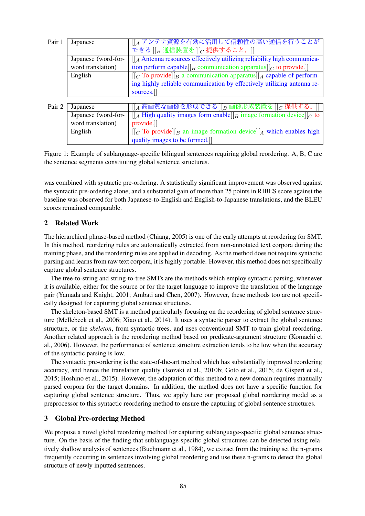| Pair 1 | Japanese            | A アンテナ資源を有効に活用して信頼性の高い通信を行うことが                                                                                                      |  |  |  |  |  |
|--------|---------------------|-------------------------------------------------------------------------------------------------------------------------------------|--|--|--|--|--|
|        |                     | できる $\parallel_B$ 通信装置を $\parallel_C$ 提供すること。                                                                                       |  |  |  |  |  |
|        | Japanese (word-for- | $\overline{  }_A$ Antenna resources effectively utilizing reliability high communica-                                               |  |  |  |  |  |
|        | word translation)   | tion perform capable $\vert$ <i>[B]</i> communication apparatus $\vert$ <i>[C]</i> to provide.]                                     |  |  |  |  |  |
|        | English             | $\overline{\left\Vert_C$ To provide $\right\Vert_B$ a communication apparatus][A capable of perform-                                |  |  |  |  |  |
|        |                     | ing highly reliable communication by effectively utilizing antenna re-                                                              |  |  |  |  |  |
|        |                     | sources.                                                                                                                            |  |  |  |  |  |
|        |                     |                                                                                                                                     |  |  |  |  |  |
| Pair 2 | Japanese            | $\overline{  }_A$ 高画質な画像を形成できる $  _B$ 画像形成装置を $  _C$ 提供する。                                                                          |  |  |  |  |  |
|        | Japanese (word-for- | $\left[\right]_A$ High quality images form enable $\left[\right]_B$ image formation device $\left[\right]_C$ to                     |  |  |  |  |  |
|        | word translation)   | provide.]                                                                                                                           |  |  |  |  |  |
|        | English             | $\left\vert \left[ \right]_C$ To provide $\left\vert \right]_B$ an image formation device $\left\vert \right]_A$ which enables high |  |  |  |  |  |
|        |                     | quality images to be formed.                                                                                                        |  |  |  |  |  |

Figure 1: Example of sublanguage-specific bilingual sentences requiring global reordering. A, B, C are the sentence segments constituting global sentence structures.

was combined with syntactic pre-ordering. A statistically significant improvement was observed against the syntactic pre-ordering alone, and a substantial gain of more than 25 points in RIBES score against the baseline was observed for both Japanese-to-English and English-to-Japanese translations, and the BLEU scores remained comparable.

## 2 Related Work

The hierarchical phrase-based method (Chiang, 2005) is one of the early attempts at reordering for SMT. In this method, reordering rules are automatically extracted from non-annotated text corpora during the training phase, and the reordering rules are applied in decoding. As the method does not require syntactic parsing and learns from raw text corpora, it is highly portable. However, this method does not specifically capture global sentence structures.

The tree-to-string and string-to-tree SMTs are the methods which employ syntactic parsing, whenever it is available, either for the source or for the target language to improve the translation of the language pair (Yamada and Knight, 2001; Ambati and Chen, 2007). However, these methods too are not specifically designed for capturing global sentence structures.

The skeleton-based SMT is a method particularly focusing on the reordering of global sentence structure (Mellebeek et al., 2006; Xiao et al., 2014). It uses a syntactic parser to extract the global sentence structure, or the *skeleton*, from syntactic trees, and uses conventional SMT to train global reordering. Another related approach is the reordering method based on predicate-argument structure (Komachi et al., 2006). However, the performance of sentence structure extraction tends to be low when the accuracy of the syntactic parsing is low.

The syntactic pre-ordering is the state-of-the-art method which has substantially improved reordering accuracy, and hence the translation quality (Isozaki et al., 2010b; Goto et al., 2015; de Gispert et al., 2015; Hoshino et al., 2015). However, the adaptation of this method to a new domain requires manually parsed corpora for the target domains. In addition, the method does not have a specific function for capturing global sentence structure. Thus, we apply here our proposed global reordering model as a preprocessor to this syntactic reordering method to ensure the capturing of global sentence structures.

# 3 Global Pre-ordering Method

We propose a novel global reordering method for capturing sublanguage-specific global sentence structure. On the basis of the finding that sublanguage-specific global structures can be detected using relatively shallow analysis of sentences (Buchmann et al., 1984), we extract from the training set the n-grams frequently occurring in sentences involving global reordering and use these n-grams to detect the global structure of newly inputted sentences.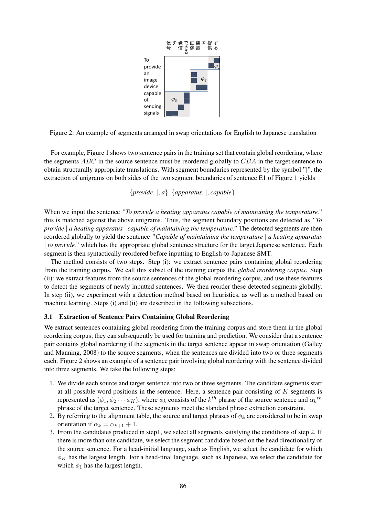

Figure 2: An example of segments arranged in swap orientations for English to Japanese translation

For example, Figure 1 shows two sentence pairs in the training set that contain global reordering, where the segments  $ABC$  in the source sentence must be reordered globally to  $CBA$  in the target sentence to obtain structurally appropriate translations. With segment boundaries represented by the symbol "|", the extraction of unigrams on both sides of the two segment boundaries of sentence E1 of Figure 1 yields

{*provide*, |, *a*} {*apparatus*, |, *capable*}.

When we input the sentence *"To provide a heating apparatus capable of maintaining the temperature,"* this is matched against the above unigrams. Thus, the segment boundary positions are detected as *"To provide* | *a heating apparatus* | *capable of maintaining the temperature."* The detected segments are then reordered globally to yield the sentence *"Capable of maintaining the temperature* | *a heating apparatus* | *to provide,"* which has the appropriate global sentence structure for the target Japanese sentence. Each segment is then syntactically reordered before inputting to English-to-Japanese SMT.

The method consists of two steps. Step (i): we extract sentence pairs containing global reordering from the training corpus. We call this subset of the training corpus the *global reordering corpus*. Step (ii): we extract features from the source sentences of the global reordering corpus, and use these features to detect the segments of newly inputted sentences. We then reorder these detected segments globally. In step (ii), we experiment with a detection method based on heuristics, as well as a method based on machine learning. Steps (i) and (ii) are described in the following subsections.

#### 3.1 Extraction of Sentence Pairs Containing Global Reordering

We extract sentences containing global reordering from the training corpus and store them in the global reordering corpus; they can subsequently be used for training and prediction. We consider that a sentence pair contains global reordering if the segments in the target sentence appear in swap orientation (Galley and Manning, 2008) to the source segments, when the sentences are divided into two or three segments each. Figure 2 shows an example of a sentence pair involving global reordering with the sentence divided into three segments. We take the following steps:

- 1. We divide each source and target sentence into two or three segments. The candidate segments start at all possible word positions in the sentence. Here, a sentence pair consisting of  $K$  segments is represented as  $(\phi_1, \phi_2 \cdots \phi_K)$ , where  $\phi_k$  consists of the  $k^{th}$  phrase of the source sentence and  $\alpha_k^{th}$ phrase of the target sentence. These segments meet the standard phrase extraction constraint.
- 2. By referring to the alignment table, the source and target phrases of  $\phi_k$  are considered to be in swap orientation if  $\alpha_k = \alpha_{k+1} + 1$ .
- 3. From the candidates produced in step1, we select all segments satisfying the conditions of step 2. If there is more than one candidate, we select the segment candidate based on the head directionality of the source sentence. For a head-initial language, such as English, we select the candidate for which  $\phi_K$  has the largest length. For a head-final language, such as Japanese, we select the candidate for which  $\phi_1$  has the largest length.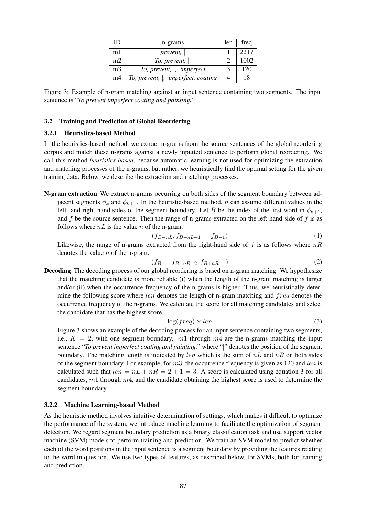| ID             | n-grams                                   | len | freq |
|----------------|-------------------------------------------|-----|------|
| m1             | prevent,                                  |     | 2217 |
| m <sub>2</sub> | To, prevent,                              |     | 1002 |
| m <sub>3</sub> | To, prevent, $\vert$ , imperfect          | 3   | 120  |
| m4             | To, prevent, $\vert$ , imperfect, coating |     | 18   |

Figure 3: Example of n-gram matching against an input sentence containing two segments. The input sentence is "*To prevent imperfect coating and painting.*"

### 3.2 Training and Prediction of Global Reordering

#### 3.2.1 Heuristics-based Method

In the heuristics-based method, we extract n-grams from the source sentences of the global reordering corpus and match these n-grams against a newly inputted sentence to perform global reordering. We call this method *heuristics-based*, because automatic learning is not used for optimizing the extraction and matching processes of the n-grams, but rather, we heuristically find the optimal setting for the given training data. Below, we describe the extraction and matching processes.

N-gram extraction We extract n-grams occurring on both sides of the segment boundary between adjacent segments  $\phi_k$  and  $\phi_{k+1}$ . In the heuristic-based method, n can assume different values in the left- and right-hand sides of the segment boundary. Let B be the index of the first word in  $\phi_{k+1}$ , and f be the source sentence. Then the range of n-grams extracted on the left-hand side of f is as follows where  $nL$  is the value n of the n-gram.

$$
(f_{B-nL}, f_{B-nL+1} \cdots f_{B-1}) \tag{1}
$$

Likewise, the range of n-grams extracted from the right-hand side of f is as follows where  $nR$ denotes the value  $n$  of the n-gram.

$$
(f_B \cdots f_{B+nR-2}, f_{B+nR-1}) \tag{2}
$$

Decoding The decoding process of our global reordering is based on n-gram matching. We hypothesize that the matching candidate is more reliable (i) when the length of the n-gram matching is larger and/or (ii) when the occurrence frequency of the n-grams is higher. Thus, we heuristically determine the following score where len denotes the length of n-gram matching and  $freq$  denotes the occurrence frequency of the n-grams. We calculate the score for all matching candidates and select the candidate that has the highest score.

$$
\log(freq) \times len \tag{3}
$$

Figure 3 shows an example of the decoding process for an input sentence containing two segments, i.e.,  $K = 2$ , with one segment boundary. m1 through  $m4$  are the n-grams matching the input sentence "*To prevent imperfect coating and painting,*" where "|" denotes the position of the segment boundary. The matching length is indicated by *len* which is the sum of  $nL$  and  $nR$  on both sides of the segment boundary. For example, for  $m3$ , the occurrence frequency is given as 120 and len is calculated such that  $len = nL + nR = 2 + 1 = 3$ . A score is calculated using equation 3 for all candidates,  $m1$  through  $m4$ , and the candidate obtaining the highest score is used to determine the segment boundary.

#### 3.2.2 Machine Learning-based Method

As the heuristic method involves intuitive determination of settings, which makes it difficult to optimize the performance of the system, we introduce machine learning to facilitate the optimization of segment detection. We regard segment boundary prediction as a binary classification task and use support vector machine (SVM) models to perform training and prediction. We train an SVM model to predict whether each of the word positions in the input sentence is a segment boundary by providing the features relating to the word in question. We use two types of features, as described below, for SVMs, both for training and prediction.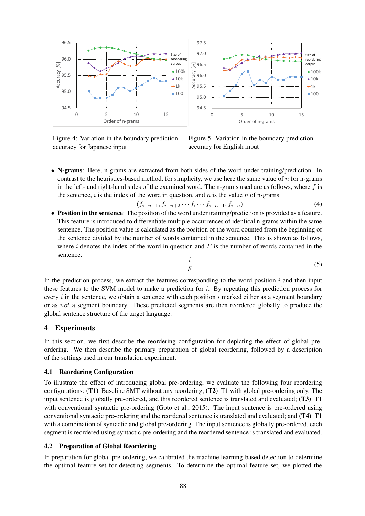

Figure 4: Variation in the boundary prediction accuracy for Japanese input



• N-grams: Here, n-grams are extracted from both sides of the word under training/prediction. In contrast to the heuristics-based method, for simplicity, we use here the same value of  $n$  for n-grams in the left- and right-hand sides of the examined word. The n-grams used are as follows, where  $f$  is the sentence, i is the index of the word in question, and  $n$  is the value  $n$  of n-grams.

$$
(f_{i-n+1}, f_{i-n+2} \cdots f_i \cdots f_{i+n-1}, f_{i+n}) \tag{4}
$$

• Position in the sentence: The position of the word under training/prediction is provided as a feature. This feature is introduced to differentiate multiple occurrences of identical n-grams within the same sentence. The position value is calculated as the position of the word counted from the beginning of the sentence divided by the number of words contained in the sentence. This is shown as follows, where i denotes the index of the word in question and  $F$  is the number of words contained in the sentence.

$$
\frac{i}{F} \tag{5}
$$

In the prediction process, we extract the features corresponding to the word position  $i$  and then input these features to the SVM model to make a prediction for  $i$ . By repeating this prediction process for every  $i$  in the sentence, we obtain a sentence with each position  $i$  marked either as a segment boundary or as *not* a segment boundary. These predicted segments are then reordered globally to produce the global sentence structure of the target language.

### 4 Experiments

In this section, we first describe the reordering configuration for depicting the effect of global preordering. We then describe the primary preparation of global reordering, followed by a description of the settings used in our translation experiment.

### 4.1 Reordering Configuration

To illustrate the effect of introducing global pre-ordering, we evaluate the following four reordering configurations: (T1) Baseline SMT without any reordering; (T2) T1 with global pre-ordering only. The input sentence is globally pre-ordered, and this reordered sentence is translated and evaluated; (T3) T1 with conventional syntactic pre-ordering (Goto et al., 2015). The input sentence is pre-ordered using conventional syntactic pre-ordering and the reordered sentence is translated and evaluated; and (T4) T1 with a combination of syntactic and global pre-ordering. The input sentence is globally pre-ordered, each segment is reordered using syntactic pre-ordering and the reordered sentence is translated and evaluated.

#### 4.2 Preparation of Global Reordering

In preparation for global pre-ordering, we calibrated the machine learning-based detection to determine the optimal feature set for detecting segments. To determine the optimal feature set, we plotted the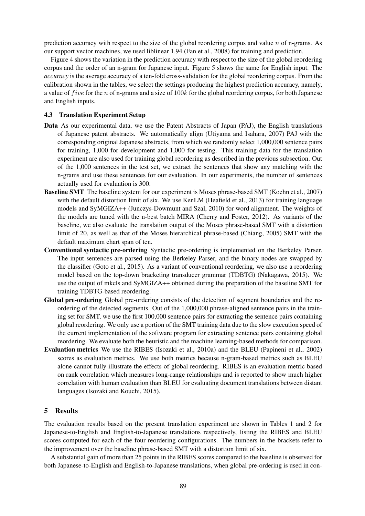prediction accuracy with respect to the size of the global reordering corpus and value  $n$  of n-grams. As our support vector machines, we used liblinear 1.94 (Fan et al., 2008) for training and prediction.

Figure 4 shows the variation in the prediction accuracy with respect to the size of the global reordering corpus and the order of an n-gram for Japanese input. Figure 5 shows the same for English input. The *accuracy* is the average accuracy of a ten-fold cross-validation for the global reordering corpus. From the calibration shown in the tables, we select the settings producing the highest prediction accuracy, namely, a value of *five* for the n of n-grams and a size of  $100k$  for the global reordering corpus, for both Japanese and English inputs.

#### 4.3 Translation Experiment Setup

- Data As our experimental data, we use the Patent Abstracts of Japan (PAJ), the English translations of Japanese patent abstracts. We automatically align (Utiyama and Isahara, 2007) PAJ with the corresponding original Japanese abstracts, from which we randomly select 1,000,000 sentence pairs for training, 1,000 for development and 1,000 for testing. This training data for the translation experiment are also used for training global reordering as described in the previous subsection. Out of the 1,000 sentences in the test set, we extract the sentences that show any matching with the n-grams and use these sentences for our evaluation. In our experiments, the number of sentences actually used for evaluation is 300.
- Baseline SMT The baseline system for our experiment is Moses phrase-based SMT (Koehn et al., 2007) with the default distortion limit of six. We use KenLM (Heafield et al., 2013) for training language models and SyMGIZA++ (Junczys-Dowmunt and Szal, 2010) for word alignment. The weights of the models are tuned with the n-best batch MIRA (Cherry and Foster, 2012). As variants of the baseline, we also evaluate the translation output of the Moses phrase-based SMT with a distortion limit of 20, as well as that of the Moses hierarchical phrase-based (Chiang, 2005) SMT with the default maximum chart span of ten.
- Conventional syntactic pre-ordering Syntactic pre-ordering is implemented on the Berkeley Parser. The input sentences are parsed using the Berkeley Parser, and the binary nodes are swapped by the classifier (Goto et al., 2015). As a variant of conventional reordering, we also use a reordering model based on the top-down bracketing transducer grammar (TDBTG) (Nakagawa, 2015). We use the output of mkcls and SyMGIZA++ obtained during the preparation of the baseline SMT for training TDBTG-based reordering.
- Global pre-ordering Global pre-ordering consists of the detection of segment boundaries and the reordering of the detected segments. Out of the 1,000,000 phrase-aligned sentence pairs in the training set for SMT, we use the first 100,000 sentence pairs for extracting the sentence pairs containing global reordering. We only use a portion of the SMT training data due to the slow execution speed of the current implementation of the software program for extracting sentence pairs containing global reordering. We evaluate both the heuristic and the machine learning-based methods for comparison.
- Evaluation metrics We use the RIBES (Isozaki et al., 2010a) and the BLEU (Papineni et al., 2002) scores as evaluation metrics. We use both metrics because n-gram-based metrics such as BLEU alone cannot fully illustrate the effects of global reordering. RIBES is an evaluation metric based on rank correlation which measures long-range relationships and is reported to show much higher correlation with human evaluation than BLEU for evaluating document translations between distant languages (Isozaki and Kouchi, 2015).

#### 5 Results

The evaluation results based on the present translation experiment are shown in Tables 1 and 2 for Japanese-to-English and English-to-Japanese translations respectively, listing the RIBES and BLEU scores computed for each of the four reordering configurations. The numbers in the brackets refer to the improvement over the baseline phrase-based SMT with a distortion limit of six.

A substantial gain of more than 25 points in the RIBES scores compared to the baseline is observed for both Japanese-to-English and English-to-Japanese translations, when global pre-ordering is used in con-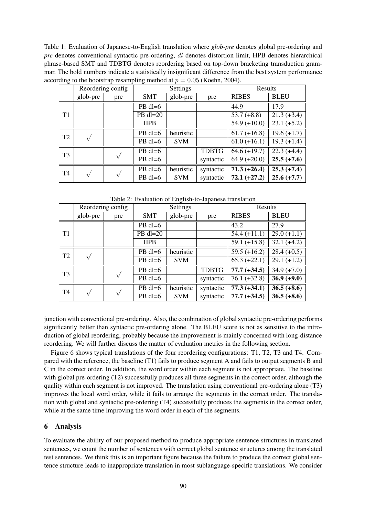Table 1: Evaluation of Japanese-to-English translation where *glob-pre* denotes global pre-ordering and *pre* denotes conventional syntactic pre-ordering, dl denotes distortion limit, HPB denotes hierarchical phrase-based SMT and TDBTG denotes reordering based on top-down bracketing transduction grammar. The bold numbers indicate a statistically insignificant difference from the best system performance according to the bootstrap resampling method at  $p = 0.05$  (Koehn, 2004).

|                | Reordering config |     | ັ<br>Settings |            |              | Results        |                |
|----------------|-------------------|-----|---------------|------------|--------------|----------------|----------------|
|                | glob-pre          | pre | <b>SMT</b>    | glob-pre   | pre          | <b>RIBES</b>   | <b>BLEU</b>    |
| T1             |                   |     | $PB$ dl=6     |            |              | 44.9           | 17.9           |
|                |                   |     | $PB$ dl=20    |            |              | $53.7 (+8.8)$  | $21.3 (+3.4)$  |
|                |                   |     | <b>HPB</b>    |            |              | $54.9 (+10.0)$ | $23.1 (+5.2)$  |
| T <sub>2</sub> | $_{\mathsf{v}}$   |     | $PB$ dl=6     | heuristic  |              | $61.7 (+16.8)$ | $19.6 (+1.7)$  |
|                |                   |     | $PB$ dl=6     | <b>SVM</b> |              | $61.0 (+16.1)$ | $19.3 (+1.4)$  |
| T <sub>3</sub> |                   |     | $PB$ dl=6     |            | <b>TDBTG</b> | $64.6 (+19.7)$ | $22.3 (+4.4)$  |
|                |                   |     | $PB$ dl=6     |            | syntactic    | $64.9 (+20.0)$ | $25.5 (+7.6)$  |
| <b>T4</b>      |                   |     | $PB$ dl=6     | heuristic  | syntactic    | $71.3 (+26.4)$ | $25.3 (+7.4)$  |
|                |                   |     |               | $PB$ dl=6  | <b>SVM</b>   | syntactic      | $72.1 (+27.2)$ |

Table 2: Evaluation of English-to-Japanese translation

|                | Reordering config |     | Settings   |            |              | Results        |                          |
|----------------|-------------------|-----|------------|------------|--------------|----------------|--------------------------|
|                | glob-pre          | pre | <b>SMT</b> | glob-pre   | pre          | <b>RIBES</b>   | <b>BLEU</b>              |
| T <sub>1</sub> |                   |     | $PB$ dl=6  |            |              | 43.2           | 27.9                     |
|                |                   |     | $PB$ dl=20 |            |              | $54.4 (+11.1)$ | $29.0 (+1.1)$            |
|                |                   |     | <b>HPB</b> |            |              | $59.1 (+15.8)$ | $32.1 (+4.2)$            |
| T <sub>2</sub> |                   |     | $PB$ dl=6  | heuristic  |              | $59.5 (+16.2)$ | $28.4 (+0.5)$            |
|                |                   |     | $PB$ dl=6  | <b>SVM</b> |              | $65.3 (+22.1)$ | $\overline{29.1}$ (+1.2) |
| T <sub>3</sub> |                   |     | $PB$ dl=6  |            | <b>TDBTG</b> | $77.7 (+34.5)$ | $34.9 (+7.0)$            |
|                |                   |     | $PB$ dl=6  |            | syntactic    | $76.1 (+32.8)$ | $36.9 (+9.0)$            |
| <b>T4</b>      |                   |     | $PB$ dl=6  | heuristic  | syntactic    | $77.3 (+34.1)$ | $36.5 (+8.6)$            |
|                |                   |     | $PB$ dl=6  | <b>SVM</b> | syntactic    | $77.7 (+34.5)$ | $\overline{36.5}$ (+8.6) |

junction with conventional pre-ordering. Also, the combination of global syntactic pre-ordering performs significantly better than syntactic pre-ordering alone. The BLEU score is not as sensitive to the introduction of global reordering, probably because the improvement is mainly concerned with long-distance reordering. We will further discuss the matter of evaluation metrics in the following section.

Figure 6 shows typical translations of the four reordering configurations: T1, T2, T3 and T4. Compared with the reference, the baseline (T1) fails to produce segment A and fails to output segments B and C in the correct order. In addition, the word order within each segment is not appropriate. The baseline with global pre-ordering (T2) successfully produces all three segments in the correct order, although the quality within each segment is not improved. The translation using conventional pre-ordering alone (T3) improves the local word order, while it fails to arrange the segments in the correct order. The translation with global and syntactic pre-ordering (T4) successfully produces the segments in the correct order, while at the same time improving the word order in each of the segments.

### 6 Analysis

To evaluate the ability of our proposed method to produce appropriate sentence structures in translated sentences, we count the number of sentences with correct global sentence structures among the translated test sentences. We think this is an important figure because the failure to produce the correct global sentence structure leads to inappropriate translation in most sublanguage-specific translations. We consider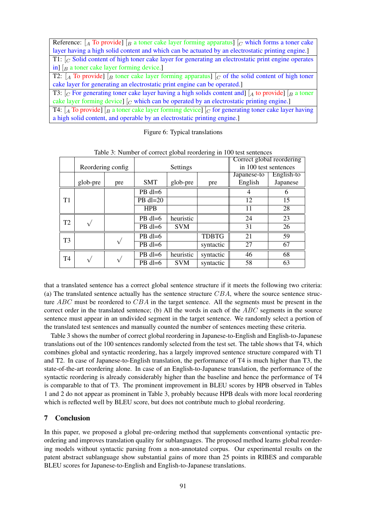| Reference: $\left[$ <sub>A</sub> To provide] $\left[$ <sub>B</sub> a toner cake layer forming apparatus] $\left[$ <sub>C</sub> which forms a toner cake                                                   |
|-----------------------------------------------------------------------------------------------------------------------------------------------------------------------------------------------------------|
| layer having a high solid content and which can be actuated by an electrostatic printing engine.                                                                                                          |
| T1: $\int_C$ Solid content of high toner cake layer for generating an electrostatic print engine operates                                                                                                 |
| in] $\left[$ <sub>B</sub> a toner cake layer forming device.]                                                                                                                                             |
| T2: $\begin{bmatrix} A \\ B \end{bmatrix}$ To provide] $\begin{bmatrix} B \\ B \end{bmatrix}$ forms to layer forming apparatus] $\begin{bmatrix} C \\ C \end{bmatrix}$ of the solid content of high toner |
| cake layer for generating an electrostatic print engine can be operated.]                                                                                                                                 |
| T3: [c For generating toner cake layer having a high solids content and] [A to provide] [B a toner                                                                                                        |
| cake layer forming device] $\left[$ <i>c</i> which can be operated by an electrostatic printing engine.]                                                                                                  |
| T4: $\left[$ <sub>A</sub> To provide] $\left[$ <sub>B</sub> a toner cake layer forming device] $\left[$ <sub>C</sub> for generating toner cake layer having                                               |
| a high solid content, and operable by an electrostatic printing engine.]                                                                                                                                  |

| $\ldots$       |                   |     |              |            |              |                           |            |
|----------------|-------------------|-----|--------------|------------|--------------|---------------------------|------------|
|                |                   |     |              |            |              | Correct global reordering |            |
|                | Reordering config |     | Settings     |            |              | in 100 test sentences     |            |
|                |                   |     |              |            |              | Japanese-to               | English-to |
|                | glob-pre          | pre | <b>SMT</b>   | glob-pre   | pre          | English                   | Japanese   |
| T1             |                   |     | $PB$ dl=6    |            |              |                           |            |
|                |                   |     | $PB$ dl=20   |            |              | 12                        | 15         |
|                |                   |     | <b>HPB</b>   |            |              | 11                        | 28         |
| T <sub>2</sub> |                   |     | $PB$ dl= $6$ | heuristic  |              | 24                        | 23         |
|                |                   |     | $PB$ dl=6    | <b>SVM</b> |              | 31                        | 26         |
| T <sub>3</sub> |                   |     | $PB$ dl=6    |            | <b>TDBTG</b> | 21                        | 59         |
|                |                   |     | $PB$ dl=6    |            | syntactic    | 27                        | 67         |
| <b>T4</b>      |                   |     | $PB$ dl=6    | heuristic  | syntactic    | 46                        | 68         |
|                |                   |     | $PB$ dl= $6$ | <b>SVM</b> | syntactic    | 58                        | 63         |

Figure 6: Typical translations

Table 3: Number of correct global reordering in 100 test sentences

that a translated sentence has a correct global sentence structure if it meets the following two criteria: (a) The translated sentence actually has the sentence structure  $CBA$ , where the source sentence structure  $ABC$  must be reordered to  $CBA$  in the target sentence. All the segments must be present in the correct order in the translated sentence; (b) All the words in each of the ABC segments in the source sentence must appear in an undivided segment in the target sentence. We randomly select a portion of the translated test sentences and manually counted the number of sentences meeting these criteria.

Table 3 shows the number of correct global reordering in Japanese-to-English and English-to-Japanese translations out of the 100 sentences randomly selected from the test set. The table shows that T4, which combines global and syntactic reordering, has a largely improved sentence structure compared with T1 and T2. In case of Japanese-to-English translation, the performance of T4 is much higher than T3, the state-of-the-art reordering alone. In case of an English-to-Japanese translation, the performance of the syntactic reordering is already considerably higher than the baseline and hence the performance of T4 is comparable to that of T3. The prominent improvement in BLEU scores by HPB observed in Tables 1 and 2 do not appear as prominent in Table 3, probably because HPB deals with more local reordering which is reflected well by BLEU score, but does not contribute much to global reordering.

### 7 Conclusion

In this paper, we proposed a global pre-ordering method that supplements conventional syntactic preordering and improves translation quality for sublanguages. The proposed method learns global reordering models without syntactic parsing from a non-annotated corpus. Our experimental results on the patent abstract sublanguage show substantial gains of more than 25 points in RIBES and comparable BLEU scores for Japanese-to-English and English-to-Japanese translations.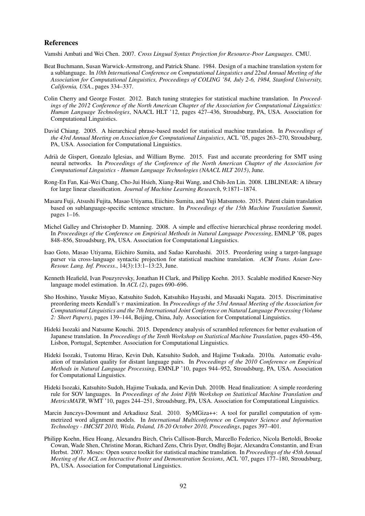#### References

Vamshi Ambati and Wei Chen. 2007. *Cross Lingual Syntax Projection for Resource-Poor Languages*. CMU.

- Beat Buchmann, Susan Warwick-Armstrong, and Patrick Shane. 1984. Design of a machine translation system for a sublanguage. In *10th International Conference on Computational Linguistics and 22nd Annual Meeting of the Association for Computational Linguistics, Proceedings of COLING '84, July 2-6, 1984, Stanford University, California, USA.*, pages 334–337.
- Colin Cherry and George Foster. 2012. Batch tuning strategies for statistical machine translation. In *Proceedings of the 2012 Conference of the North American Chapter of the Association for Computational Linguistics: Human Language Technologies*, NAACL HLT '12, pages 427–436, Stroudsburg, PA, USA. Association for Computational Linguistics.
- David Chiang. 2005. A hierarchical phrase-based model for statistical machine translation. In *Proceedings of the 43rd Annual Meeting on Association for Computational Linguistics*, ACL '05, pages 263–270, Stroudsburg, PA, USA. Association for Computational Linguistics.
- Adria de Gispert, Gonzalo Iglesias, and William Byrne. 2015. Fast and accurate preordering for SMT using ` neural networks. In *Proceedings of the Conference of the North American Chapter of the Association for Computational Linguistics - Human Language Technologies (NAACL HLT 2015)*, June.
- Rong-En Fan, Kai-Wei Chang, Cho-Jui Hsieh, Xiang-Rui Wang, and Chih-Jen Lin. 2008. LIBLINEAR: A library for large linear classification. *Journal of Machine Learning Research*, 9:1871–1874.
- Masaru Fuji, Atsushi Fujita, Masao Utiyama, Eiichiro Sumita, and Yuji Matsumoto. 2015. Patent claim translation based on sublanguage-specific sentence structure. In *Proceedings of the 15th Machine Translation Summit*, pages 1–16.
- Michel Galley and Christopher D. Manning. 2008. A simple and effective hierarchical phrase reordering model. In *Proceedings of the Conference on Empirical Methods in Natural Language Processing*, EMNLP '08, pages 848–856, Stroudsburg, PA, USA. Association for Computational Linguistics.
- Isao Goto, Masao Utiyama, Eiichiro Sumita, and Sadao Kurohashi. 2015. Preordering using a target-language parser via cross-language syntactic projection for statistical machine translation. *ACM Trans. Asian Low-Resour. Lang. Inf. Process.*, 14(3):13:1–13:23, June.
- Kenneth Heafield, Ivan Pouzyrevsky, Jonathan H Clark, and Philipp Koehn. 2013. Scalable modified Kneser-Ney language model estimation. In *ACL (2)*, pages 690–696.
- Sho Hoshino, Yusuke Miyao, Katsuhito Sudoh, Katsuhiko Hayashi, and Masaaki Nagata. 2015. Discriminative preordering meets Kendall's τ maximization. In *Proceedings of the 53rd Annual Meeting of the Association for Computational Linguistics and the 7th International Joint Conference on Natural Language Processing (Volume 2: Short Papers)*, pages 139–144, Beijing, China, July. Association for Computational Linguistics.
- Hideki Isozaki and Natsume Kouchi. 2015. Dependency analysis of scrambled references for better evaluation of Japanese translation. In *Proceedings of the Tenth Workshop on Statistical Machine Translation*, pages 450–456, Lisbon, Portugal, September. Association for Computational Linguistics.
- Hideki Isozaki, Tsutomu Hirao, Kevin Duh, Katsuhito Sudoh, and Hajime Tsukada. 2010a. Automatic evaluation of translation quality for distant language pairs. In *Proceedings of the 2010 Conference on Empirical Methods in Natural Language Processing*, EMNLP '10, pages 944–952, Stroudsburg, PA, USA. Association for Computational Linguistics.
- Hideki Isozaki, Katsuhito Sudoh, Hajime Tsukada, and Kevin Duh. 2010b. Head finalization: A simple reordering rule for SOV languages. In *Proceedings of the Joint Fifth Workshop on Statistical Machine Translation and MetricsMATR*, WMT '10, pages 244–251, Stroudsburg, PA, USA. Association for Computational Linguistics.
- Marcin Junczys-Dowmunt and Arkadiusz Szal. 2010. SyMGiza++: A tool for parallel computation of symmetrized word alignment models. In *International Multiconference on Computer Science and Information Technology - IMCSIT 2010, Wisla, Poland, 18-20 October 2010, Proceedings*, pages 397–401.
- Philipp Koehn, Hieu Hoang, Alexandra Birch, Chris Callison-Burch, Marcello Federico, Nicola Bertoldi, Brooke Cowan, Wade Shen, Christine Moran, Richard Zens, Chris Dyer, Ondˇrej Bojar, Alexandra Constantin, and Evan Herbst. 2007. Moses: Open source toolkit for statistical machine translation. In *Proceedings of the 45th Annual Meeting of the ACL on Interactive Poster and Demonstration Sessions*, ACL '07, pages 177–180, Stroudsburg, PA, USA. Association for Computational Linguistics.